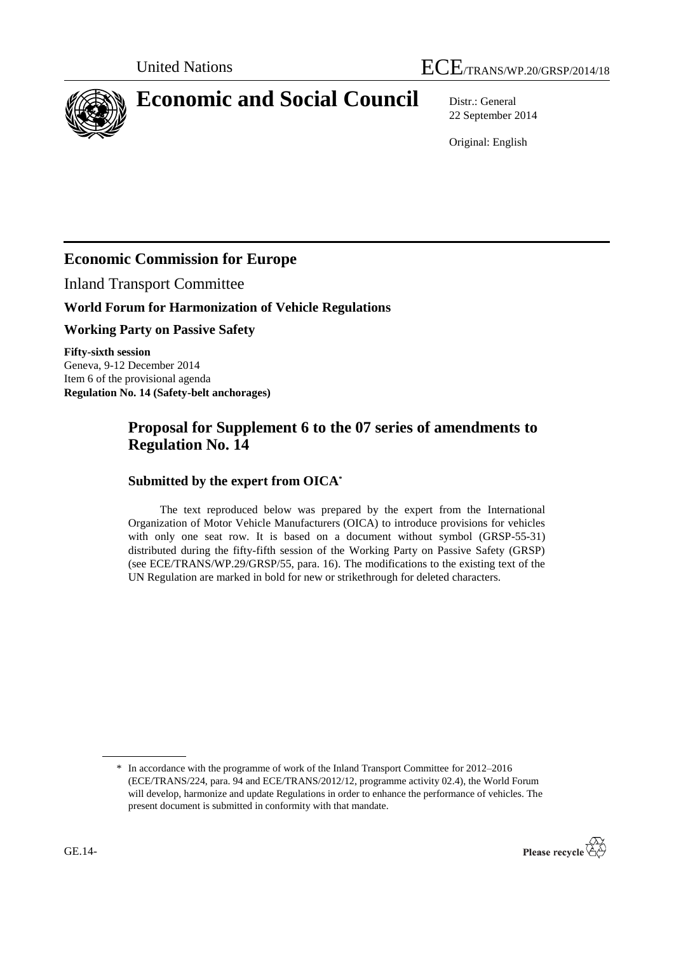

# **Economic and Social Council** Distr.: General

22 September 2014

Original: English

# **Economic Commission for Europe**

Inland Transport Committee

## **World Forum for Harmonization of Vehicle Regulations**

**Working Party on Passive Safety**

**Fifty-sixth session** Geneva, 9-12 December 2014 Item 6 of the provisional agenda **Regulation No. 14 (Safety-belt anchorages)**

## **Proposal for Supplement 6 to the 07 series of amendments to Regulation No. 14**

#### **Submitted by the expert from OICA\***

The text reproduced below was prepared by the expert from the International Organization of Motor Vehicle Manufacturers (OICA) to introduce provisions for vehicles with only one seat row. It is based on a document without symbol (GRSP-55-31) distributed during the fifty-fifth session of the Working Party on Passive Safety (GRSP) (see ECE/TRANS/WP.29/GRSP/55, para. 16). The modifications to the existing text of the UN Regulation are marked in bold for new or strikethrough for deleted characters.

<sup>\*</sup> In accordance with the programme of work of the Inland Transport Committee for 2012–2016 (ECE/TRANS/224, para. 94 and ECE/TRANS/2012/12, programme activity 02.4), the World Forum will develop, harmonize and update Regulations in order to enhance the performance of vehicles. The present document is submitted in conformity with that mandate.